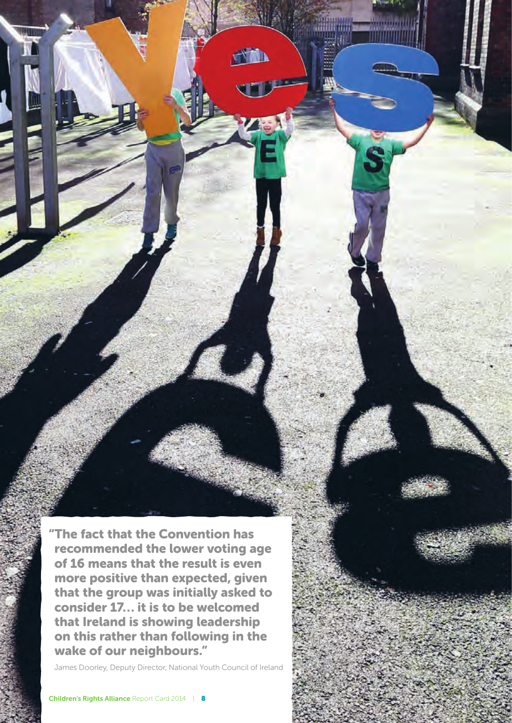"The fact that the Convention has recommended the lower voting age of 16 means that the result is even more positive than expected, given that the group was initially asked to consider 17… it is to be welcomed that Ireland is showing leadership on this rather than following in the wake of our neighbours."

**TANA** 

James Doorley, Deputy Director, National Youth Council of Ireland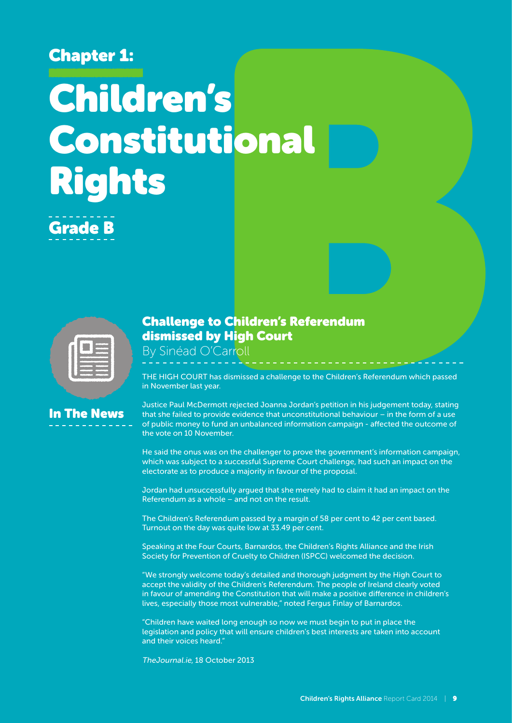### Chapter 1:

# Children's Constitutional Rights

Grade B

In The News

#### Challenge to Children's Referendum dismissed by High Court

By Sinéad O'Carroll

THE HIGH COURT has dismissed a challenge to the Children's Referendum which passed in November last year.

Justice Paul McDermott rejected Joanna Jordan's petition in his judgement today, stating that she failed to provide evidence that unconstitutional behaviour – in the form of a use of public money to fund an unbalanced information campaign - affected the outcome of the vote on 10 November.

He said the onus was on the challenger to prove the government's information campaign, which was subject to a successful Supreme Court challenge, had such an impact on the electorate as to produce a majority in favour of the proposal.

Jordan had unsuccessfully argued that she merely had to claim it had an impact on the Referendum as a whole – and not on the result.

The Children's Referendum passed by a margin of 58 per cent to 42 per cent based. Turnout on the day was quite low at 33.49 per cent.

Speaking at the Four Courts, Barnardos, the Children's Rights Alliance and the Irish Society for Prevention of Cruelty to Children (ISPCC) welcomed the decision.

"We strongly welcome today's detailed and thorough judgment by the High Court to accept the validity of the Children's Referendum. The people of Ireland clearly voted in favour of amending the Constitution that will make a positive difference in children's lives, especially those most vulnerable," noted Fergus Finlay of Barnardos.

"Children have waited long enough so now we must begin to put in place the legislation and policy that will ensure children's best interests are taken into account and their voices heard."

TheJournal.ie, 18 October 2013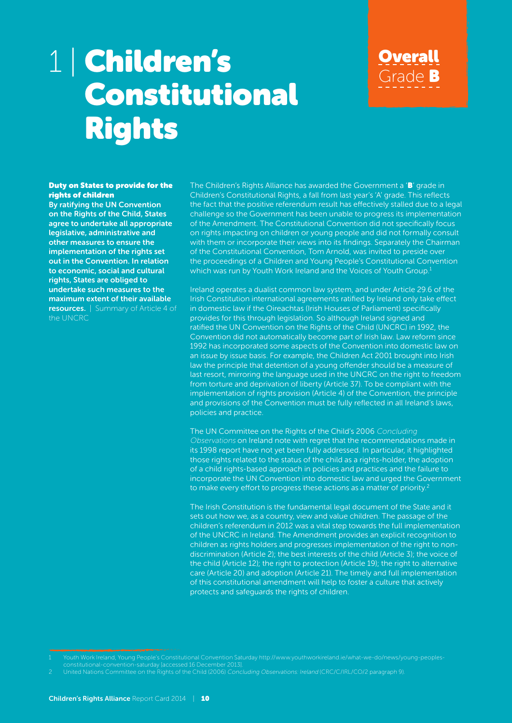## 1 | Children's Constitutional Rights

#### Duty on States to provide for the rights of children

By ratifying the UN Convention on the Rights of the Child, States agree to undertake all appropriate legislative, administrative and other measures to ensure the implementation of the rights set out in the Convention. In relation to economic, social and cultural rights, States are obliged to undertake such measures to the maximum extent of their available resources. | Summary of Article 4 of the UNCRC

The Children's Rights Alliance has awarded the Government a 'B' grade in Children's Constitutional Rights, a fall from last year's 'A' grade. This reflects the fact that the positive referendum result has effectively stalled due to a legal challenge so the Government has been unable to progress its implementation of the Amendment. The Constitutional Convention did not specifically focus on rights impacting on children or young people and did not formally consult with them or incorporate their views into its findings. Separately the Chairman of the Constitutional Convention, Tom Arnold, was invited to preside over the proceedings of a Children and Young People's Constitutional Convention which was run by Youth Work Ireland and the Voices of Youth Group.<sup>1</sup>

Overall

Grade B

Ireland operates a dualist common law system, and under Article 29.6 of the Irish Constitution international agreements ratified by Ireland only take effect in domestic law if the Oireachtas (Irish Houses of Parliament) specifically provides for this through legislation. So although Ireland signed and ratified the UN Convention on the Rights of the Child (UNCRC) in 1992, the Convention did not automatically become part of Irish law. Law reform since 1992 has incorporated some aspects of the Convention into domestic law on an issue by issue basis. For example, the Children Act 2001 brought into Irish law the principle that detention of a young offender should be a measure of last resort, mirroring the language used in the UNCRC on the right to freedom from torture and deprivation of liberty (Article 37). To be compliant with the implementation of rights provision (Article 4) of the Convention, the principle and provisions of the Convention must be fully reflected in all Ireland's laws, policies and practice.

The UN Committee on the Rights of the Child's 2006 Concluding Observations on Ireland note with regret that the recommendations made in its 1998 report have not yet been fully addressed. In particular, it highlighted those rights related to the status of the child as a rights-holder, the adoption of a child rights-based approach in policies and practices and the failure to incorporate the UN Convention into domestic law and urged the Government to make every effort to progress these actions as a matter of priority.<sup>2</sup>

The Irish Constitution is the fundamental legal document of the State and it sets out how we, as a country, view and value children. The passage of the children's referendum in 2012 was a vital step towards the full implementation of the UNCRC in Ireland. The Amendment provides an explicit recognition to children as rights holders and progresses implementation of the right to nondiscrimination (Article 2); the best interests of the child (Article 3); the voice of the child (Article 12); the right to protection (Article 19); the right to alternative care (Article 20) and adoption (Article 21). The timely and full implementation of this constitutional amendment will help to foster a culture that actively protects and safeguards the rights of children.

constitutional-convention-saturday [accessed 16 December 2013].

<sup>2</sup> United Nations Committee on the Rights of the Child (2006) Concluding Observations: Ireland (CRC/C/IRL/CO/2 paragraph 9).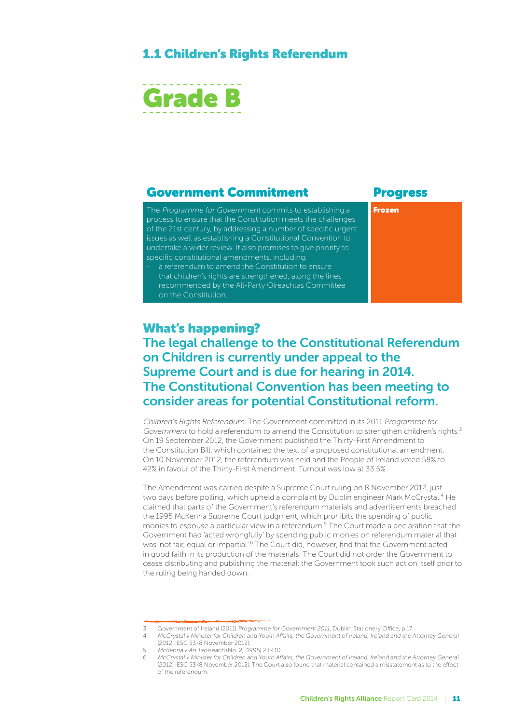#### 1.1 Children's Rights Referendum



#### Government Commitment Progress

The Programme for Government commits to establishing a process to ensure that the Constitution meets the challenges of the 21st century, by addressing a number of specific urgent issues as well as establishing a Constitutional Convention to undertake a wider review. It also promises to give priority to specific constitutional amendments, including:

a referendum to amend the Constitution to ensure that children's rights are strengthened, along the lines recommended by the All-Party Oireachtas Committee on the Constitution.

Frozen

#### What's happening?

#### The legal challenge to the Constitutional Referendum on Children is currently under appeal to the Supreme Court and is due for hearing in 2014. The Constitutional Convention has been meeting to consider areas for potential Constitutional reform.

Children's Rights Referendum: The Government committed in its 2011 Programme for Government to hold a referendum to amend the Constitution to strengthen children's rights.<sup>3</sup> On 19 September 2012, the Government published the Thirty-First Amendment to the Constitution Bill, which contained the text of a proposed constitutional amendment. On 10 November 2012, the referendum was held and the People of Ireland voted 58% to 42% in favour of the Thirty-First Amendment. Turnout was low at 33.5%.

The Amendment was carried despite a Supreme Court ruling on 8 November 2012, just two days before polling, which upheld a complaint by Dublin engineer Mark McCrystal.<sup>4</sup> He claimed that parts of the Government's referendum materials and advertisements breached the 1995 McKenna Supreme Court judgment, which prohibits the spending of public monies to espouse a particular view in a referendum.<sup>5</sup> The Court made a declaration that the Government had 'acted wrongfully' by spending public monies on referendum material that was 'not fair, equal or impartial'.<sup>6</sup> The Court did, however, find that the Government acted in good faith in its production of the materials. The Court did not order the Government to cease distributing and publishing the material: the Government took such action itself prior to the ruling being handed down.

5 McKenna v An Taoiseach (No. 2) [1995] 2 IR 10.

<sup>3</sup> Government of Ireland (2011) Programme for Government 2011, Dublin: Stationery Office, p.17.

<sup>4</sup> McCrystal v Minister for Children and Youth Affairs, the Government of Ireland, Ireland and the Attorney General [2012] IESC 53 (8 November 2012).

<sup>6</sup> McCrystal v Minister for Children and Youth Affairs, the Government of Ireland, Ireland and the Attorney General [2012] IESC 53 (8 November 2012). The Court also found that material contained a misstatement as to the effect of the referendum.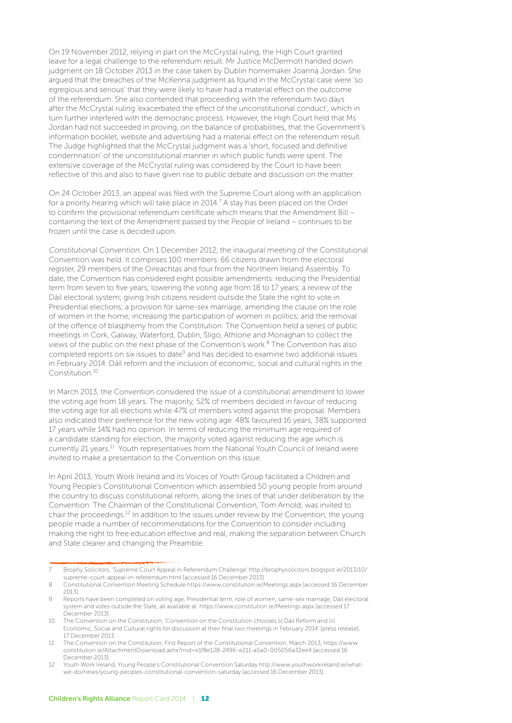On 19 November 2012, relying in part on the McCrystal ruling, the High Court granted leave for a legal challenge to the referendum result. Mr Justice McDermott handed down judgment on 18 October 2013 in the case taken by Dublin homemaker Joanna Jordan. She argued that the breaches of the McKenna judgment as found in the McCrystal case were 'so egregious and serious' that they were likely to have had a material effect on the outcome of the referendum. She also contended that proceeding with the referendum two days after the McCrystal ruling 'exacerbated the effect of the unconstitutional conduct', which in turn further interfered with the democratic process. However, the High Court held that Ms Jordan had not succeeded in proving, on the balance of probabilities, that the Government's information booklet, website and advertising had a material effect on the referendum result. The Judge highlighted that the McCrystal judgment was a 'short, focused and definitive condemnation' of the unconstitutional manner in which public funds were spent. The extensive coverage of the McCrystal ruling was considered by the Court to have been reflective of this and also to have given rise to public debate and discussion on the matter.

On 24 October 2013, an appeal was filed with the Supreme Court along with an application for a priority hearing which will take place in 2014.<sup>7</sup> A stay has been placed on the Order to confirm the provisional referendum certificate which means that the Amendment Bill containing the text of the Amendment passed by the People of Ireland – continues to be frozen until the case is decided upon.

Constitutional Convention: On 1 December 2012, the inaugural meeting of the Constitutional Convention was held. It comprises 100 members: 66 citizens drawn from the electoral register, 29 members of the Oireachtas and four from the Northern Ireland Assembly. To date, the Convention has considered eight possible amendments: reducing the Presidential term from seven to five years; lowering the voting age from 18 to 17 years; a review of the Dáil electoral system; giving Irish citizens resident outside the State the right to vote in Presidential elections; a provision for same-sex marriage; amending the clause on the role of women in the home; increasing the participation of women in politics; and the removal of the offence of blasphemy from the Constitution. The Convention held a series of public meetings in Cork, Galway, Waterford, Dublin, Sligo, Athlone and Monaghan to collect the views of the public on the next phase of the Convention's work.8 The Convention has also completed reports on six issues to date<sup>9</sup> and has decided to examine two additional issues in February 2014: Dáil reform and the inclusion of economic, social and cultural rights in the Constitution.10

In March 2013, the Convention considered the issue of a constitutional amendment to lower the voting age from 18 years. The majority, 52% of members decided in favour of reducing the voting age for all elections while 47% of members voted against the proposal. Members also indicated their preference for the new voting age: 48% favoured 16 years, 38% supported 17 years while 14% had no opinion. In terms of reducing the minimum age required of a candidate standing for election, the majority voted against reducing the age which is currently 21 years.<sup>11</sup> Youth representatives from the National Youth Council of Ireland were invited to make a presentation to the Convention on this issue.

In April 2013, Youth Work Ireland and its Voices of Youth Group facilitated a Children and Young People's Constitutional Convention which assembled 50 young people from around the country to discuss constitutional reform, along the lines of that under deliberation by the Convention. The Chairman of the Constitutional Convention, Tom Arnold, was invited to chair the proceedings.12 In addition to the issues under review by the Convention, the young people made a number of recommendations for the Convention to consider including making the right to free education effective and real, making the separation between Church and State clearer and changing the Preamble.

<sup>7</sup> Brophy Solicitors, 'Supreme Court Appeal in Referendum Challenge' http://brophysolicitors.blogspot.ie/2013/10/ supreme-court-appeal-in-referendum.html [accessed 16 December 2013].

<sup>8</sup> Constitutional Convention Meeting Schedule https://www.constitution.ie/Meetings.aspx [accessed 16 December 2013].

<sup>9</sup> Reports have been completed on voting age, Presidential term, role of women, same-sex marriage, Dáil electoral system and votes outside the State, all available at: https://www.constitution.ie/Meetings.aspx [accessed 17 December 2013].

<sup>10</sup> The Convention on the Constitution, 'Convention on the Constitution chooses (i) Dáil Reform and (ii) Economic, Social and Cultural rights for discussion at their final two meetings in February 2014' [press release], 17 December 2013.

<sup>11</sup> The Convention on the Constitution, First Report of the Constitutional Convention, March 2013; https://www. constitution.ie/AttachmentDownload.ashx?mid=e1f8e128-2496-e211-a5a0-005056a32ee4 [accessed 16 December 2013].

<sup>12</sup> Youth Work Ireland, Young People's Constitutional Convention Saturday http://www.youthworkireland.ie/whatwe-do/news/young-peoples-constitutional-convention-saturday [accessed 16 December 2013].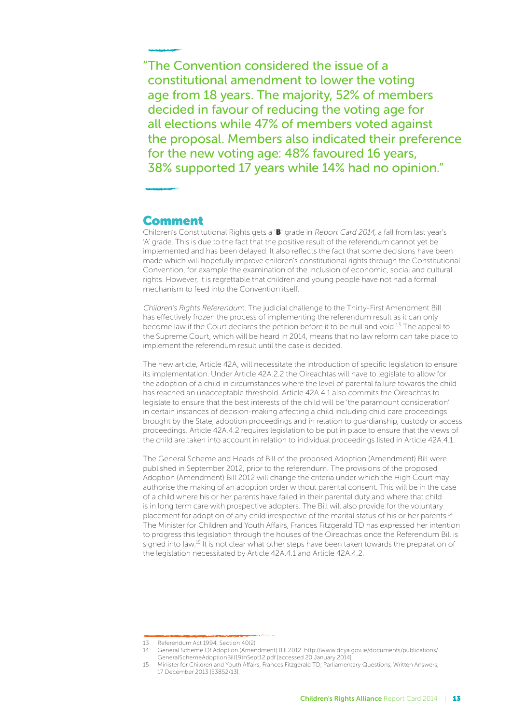"The Convention considered the issue of a constitutional amendment to lower the voting age from 18 years. The majority, 52% of members decided in favour of reducing the voting age for all elections while 47% of members voted against the proposal. Members also indicated their preference for the new voting age: 48% favoured 16 years, 38% supported 17 years while 14% had no opinion."

#### **Comment**

Children's Constitutional Rights gets a 'B' grade in Report Card 2014, a fall from last year's 'A' grade. This is due to the fact that the positive result of the referendum cannot yet be implemented and has been delayed. It also reflects the fact that some decisions have been made which will hopefully improve children's constitutional rights through the Constitutional Convention, for example the examination of the inclusion of economic, social and cultural rights. However, it is regrettable that children and young people have not had a formal mechanism to feed into the Convention itself.

Children's Rights Referendum: The judicial challenge to the Thirty-First Amendment Bill has effectively frozen the process of implementing the referendum result as it can only become law if the Court declares the petition before it to be null and void.<sup>13</sup> The appeal to the Supreme Court, which will be heard in 2014, means that no law reform can take place to implement the referendum result until the case is decided.

The new article, Article 42A, will necessitate the introduction of specific legislation to ensure its implementation. Under Article 42A.2.2 the Oireachtas will have to legislate to allow for the adoption of a child in circumstances where the level of parental failure towards the child has reached an unacceptable threshold. Article 42A.4.1 also commits the Oireachtas to legislate to ensure that the best interests of the child will be 'the paramount consideration' in certain instances of decision-making affecting a child including child care proceedings brought by the State, adoption proceedings and in relation to guardianship, custody or access proceedings. Article 42A.4.2 requires legislation to be put in place to ensure that the views of the child are taken into account in relation to individual proceedings listed in Article 42A.4.1.

The General Scheme and Heads of Bill of the proposed Adoption (Amendment) Bill were published in September 2012, prior to the referendum. The provisions of the proposed Adoption (Amendment) Bill 2012 will change the criteria under which the High Court may authorise the making of an adoption order without parental consent. This will be in the case of a child where his or her parents have failed in their parental duty and where that child is in long term care with prospective adopters. The Bill will also provide for the voluntary placement for adoption of any child irrespective of the marital status of his or her parents.<sup>14</sup> The Minister for Children and Youth Affairs, Frances Fitzgerald TD has expressed her intention to progress this legislation through the houses of the Oireachtas once the Referendum Bill is signed into law.<sup>15</sup> It is not clear what other steps have been taken towards the preparation of the legislation necessitated by Article 42A.4.1 and Article 42A.4.2.

<sup>13</sup> Referendum Act 1994, Section 40(2).

<sup>14</sup> General Scheme Of Adoption (Amendment) Bill 2012. http://www.dcya.gov.ie/documents/publications/ GeneralSchemeAdoptionBill19thSept12.pdf [accessed 20 January 2014].

<sup>15</sup> Minister for Children and Youth Affairs, Frances Fitzgerald TD, Parliamentary Questions, Written Answers, 17 December 2013 [53852/13].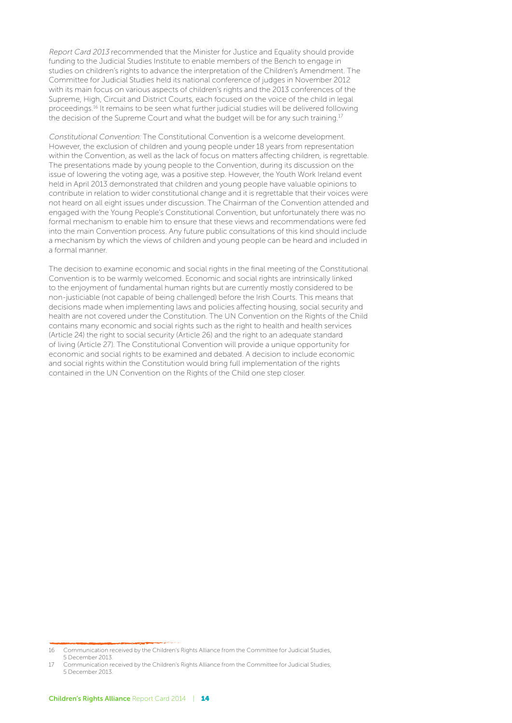Report Card 2013 recommended that the Minister for Justice and Equality should provide funding to the Judicial Studies Institute to enable members of the Bench to engage in studies on children's rights to advance the interpretation of the Children's Amendment. The Committee for Judicial Studies held its national conference of judges in November 2012 with its main focus on various aspects of children's rights and the 2013 conferences of the Supreme, High, Circuit and District Courts, each focused on the voice of the child in legal proceedings.16 It remains to be seen what further judicial studies will be delivered following the decision of the Supreme Court and what the budget will be for any such training.<sup>17</sup>

Constitutional Convention: The Constitutional Convention is a welcome development. However, the exclusion of children and young people under 18 years from representation within the Convention, as well as the lack of focus on matters affecting children, is regrettable. The presentations made by young people to the Convention, during its discussion on the issue of lowering the voting age, was a positive step. However, the Youth Work Ireland event held in April 2013 demonstrated that children and young people have valuable opinions to contribute in relation to wider constitutional change and it is regrettable that their voices were not heard on all eight issues under discussion. The Chairman of the Convention attended and engaged with the Young People's Constitutional Convention, but unfortunately there was no formal mechanism to enable him to ensure that these views and recommendations were fed into the main Convention process. Any future public consultations of this kind should include a mechanism by which the views of children and young people can be heard and included in a formal manner.

The decision to examine economic and social rights in the final meeting of the Constitutional Convention is to be warmly welcomed. Economic and social rights are intrinsically linked to the enjoyment of fundamental human rights but are currently mostly considered to be non-justiciable (not capable of being challenged) before the Irish Courts. This means that decisions made when implementing laws and policies affecting housing, social security and health are not covered under the Constitution. The UN Convention on the Rights of the Child contains many economic and social rights such as the right to health and health services (Article 24) the right to social security (Article 26) and the right to an adequate standard of living (Article 27). The Constitutional Convention will provide a unique opportunity for economic and social rights to be examined and debated. A decision to include economic and social rights within the Constitution would bring full implementation of the rights contained in the UN Convention on the Rights of the Child one step closer.

<sup>16</sup> Communication received by the Children's Rights Alliance from the Committee for Judicial Studies, 5 December 2013.

<sup>17</sup> Communication received by the Children's Rights Alliance from the Committee for Judicial Studies, 5 December 2013.